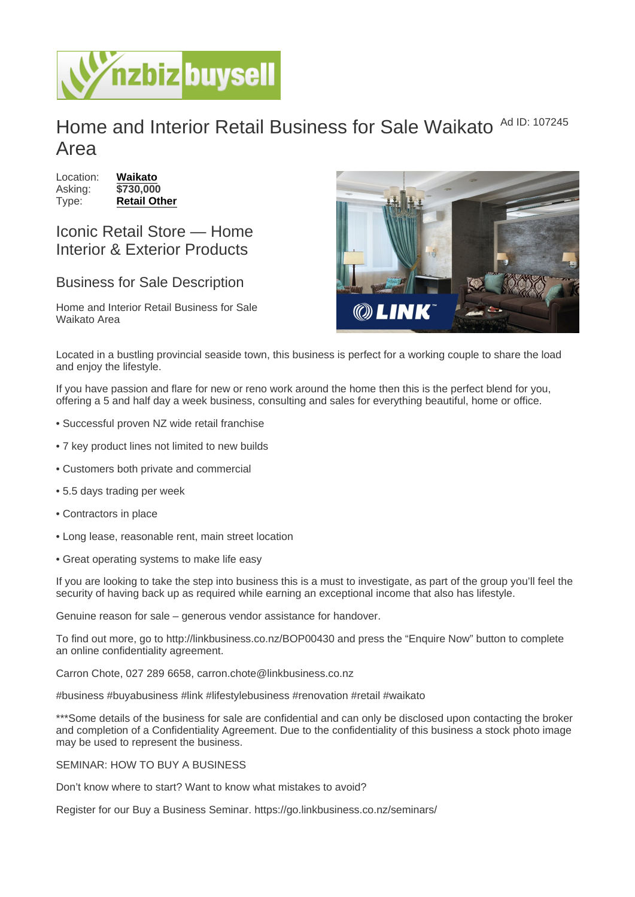## Home and Interior Retail Business for Sale Waikato Ad ID: 107245 Area

Location: [Waikato](https://www.nzbizbuysell.co.nz/businesses-for-sale/location/Waikato) Asking: \$730,000 Type: [Retail Other](https://www.nzbizbuysell.co.nz/businesses-for-sale/Retail-Other/New-Zealand)

Iconic Retail Store — Home Interior & Exterior Products

## Business for Sale Description

Home and Interior Retail Business for Sale Waikato Area

Located in a bustling provincial seaside town, this business is perfect for a working couple to share the load and enjoy the lifestyle.

If you have passion and flare for new or reno work around the home then this is the perfect blend for you, offering a 5 and half day a week business, consulting and sales for everything beautiful, home or office.

- Successful proven NZ wide retail franchise
- 7 key product lines not limited to new builds
- Customers both private and commercial
- 5.5 days trading per week
- Contractors in place
- Long lease, reasonable rent, main street location
- Great operating systems to make life easy

If you are looking to take the step into business this is a must to investigate, as part of the group you'll feel the security of having back up as required while earning an exceptional income that also has lifestyle.

Genuine reason for sale – generous vendor assistance for handover.

To find out more, go to http://linkbusiness.co.nz/BOP00430 and press the "Enquire Now" button to complete an online confidentiality agreement.

Carron Chote, 027 289 6658, carron.chote@linkbusiness.co.nz

#business #buyabusiness #link #lifestylebusiness #renovation #retail #waikato

\*\*\*Some details of the business for sale are confidential and can only be disclosed upon contacting the broker and completion of a Confidentiality Agreement. Due to the confidentiality of this business a stock photo image may be used to represent the business.

## SEMINAR: HOW TO BUY A BUSINESS

Don't know where to start? Want to know what mistakes to avoid?

Register for our Buy a Business Seminar. https://go.linkbusiness.co.nz/seminars/